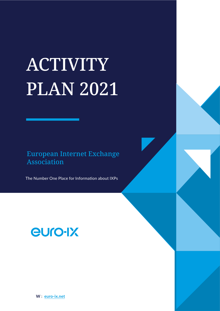# **ACTIVITY** PLAN 2021

European Internet Exchange Association

The Number One Place for Information about IXPs

## euro-IX

**W** : **[euro-ix.net](https://www.euro-ix.net/en/)**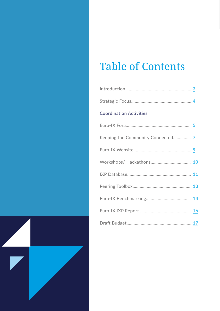## Table of Contents

| <b>Coordination Activities</b>    |  |
|-----------------------------------|--|
|                                   |  |
| Keeping the Community Connected 7 |  |
|                                   |  |
|                                   |  |
|                                   |  |
|                                   |  |
|                                   |  |
|                                   |  |
|                                   |  |

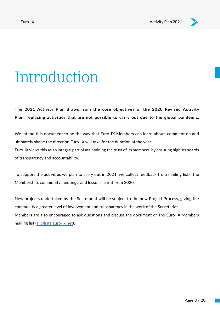# <span id="page-2-0"></span>Introduction

**The 2021 Activity Plan draws from the core objectives of the 2020 Revised Activity Plan, replacing activities that are not possible to carry out due to the global pandemic.**

We intend this document to be the way that Euro-IX Members can learn about, comment on and ultimately shape the direction Euro-IX will take for the duration of the year. Euro-IX views this as an integral part of maintaining the trust of its members, by ensuring high standards of transparency and accountability.

To support the activities we plan to carry out in 2021, we collect feedback from mailing lists, the Membership, community meetings, and lessons learnt from 2020.

New projects undertaken by the Secretariat will be subject to the new Project Process, giving the community a greater level of involvement and transparency in the work of the Secretariat. Members are also encouraged to ask questions and discuss the document on the Euro-IX Members mailing list ([all@lists.euro-ix.net](mailto:all%40lists.euro-ix.net?subject=)).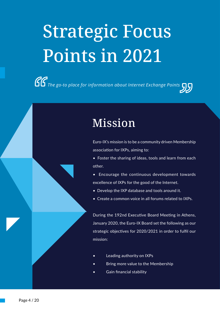# <span id="page-3-0"></span>Strategic Focus Points in 2021

*The go-to place for information about Internet Exchange Points*

## Mission

Euro-IX's mission is to be a community driven Membership association for IXPs, aiming to:

- Foster the sharing of ideas, tools and learn from each other.
- Encourage the continuous development towards excellence of IXPs for the good of the Internet.
- Develop the IXP database and tools around it.
- Create a common voice in all forums related to IXPs.

During the 192nd Executive Board Meeting in Athens, January 2020, the Euro-IX Board set the following as our strategic objectives for 2020/2021 in order to fulfil our mission:

- Leading authority on IXPs
- Bring more value to the Membership
- Gain financial stability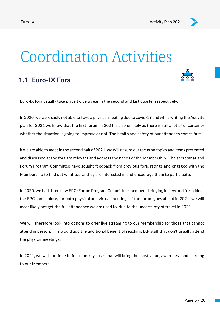# <span id="page-4-0"></span>Coordination Activities

### **1.1 Euro-IX Fora**



Euro-IX fora usually take place twice a year in the second and last quarter respectively.

In 2020, we were sadly not able to have a physical meeting due to covid-19 and while writing the Activity plan for 2021 we know that the first forum in 2021 is also unlikely as there is still a lot of uncertainty whether the situation is going to improve or not. The health and safety of our attendees comes first.

If we are able to meet in the second half of 2021, we will ensure our focus on topics and items presented and discussed at the fora are relevant and address the needs of the Membership. The secretariat and Forum Program Committee have sought feedback from previous fora, ratings and engaged with the Membership to find out what topics they are interested in and encourage them to participate.

In 2020, we had three new FPC (Forum Program Committee) members, bringing in new and fresh ideas the FPC can explore, for both physical and virtual meetings. If the forum goes ahead in 2021, we will most likely not get the full attendance we are used to, due to the uncertainty of travel in 2021.

We will therefore look into options to offer live streaming to our Membership for those that cannot attend in person. This would add the additional benefit of reaching IXP staff that don't usually attend the physical meetings.

In 2021, we will continue to focus on key areas that will bring the most value, awareness and learning to our Members.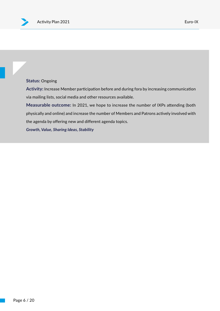#### **Status:** Ongoing

**Activity:** Increase Member participation before and during fora by increasing communication via mailing lists, social media and other resources available.

**Measurable outcome:** In 2021, we hope to increase the number of IXPs attending (both physically and online) and increase the number of Members and Patrons actively involved with the agenda by offering new and different agenda topics.

*Growth, Value, Sharing Ideas, Stability*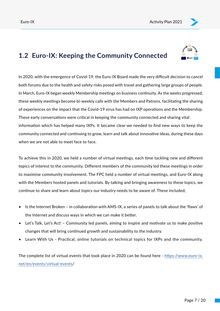## <span id="page-6-0"></span>**1.2 Euro-IX: Keeping the Community Connected**



In 2020, with the emergence of Covid-19, the Euro-IX Board made the very difficult decision to cancel both forums due to the health and safety risks posed with travel and gathering large groups of people. In March, Euro-IX began weekly Membership meetings on business continuity. As the weeks progressed, these weekly meetings become bi-weekly calls with the Members and Patrons, facilitating the sharing of experiences on the impact that the Covid-19 virus has had on IXP operations and the Membership. These early conversations were critical in keeping the community connected and sharing vital information which has helped many IXPs. It became clear we needed to find new ways to keep the community connected and continuing to grow, learn and talk about innovative ideas, during these days when we are not able to meet face to face.

To achieve this in 2020, we held a number of virtual meetings, each time tackling new and different topics of interest to the community. Different members of the community led these meetings in order to maximise community involvement. The FPC held a number of virtual meetings, and Euro-IX along with the Members hosted panels and tutorials. By talking and bringing awareness to these topics, we continue to share and learn about topics our industry needs to be aware of. These included;

- Is the Internet Broken in collaboration with AMS-IX, a series of panels to talk about the 'flaws' of the Internet and discuss ways in which we can make it better.
- Let's Talk, Let's Act! Community led panels, aiming to inspire and motivate us to make positive changes that will bring continued growth and sustainability to the industry.
- Learn With Us Practical, online tutorials on technical topics for IXPs and the community.

The complete list of virtual events that took place in 2020 can be found here - [https://www.euro-ix.](https://www.euro-ix.net/en/events/virtual-events) [net/en/events/virtual-events](https://www.euro-ix.net/en/events/virtual-events)/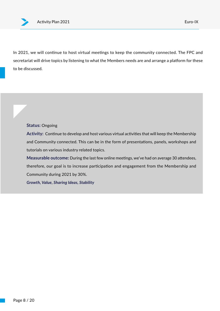In 2021, we will continue to host virtual meetings to keep the community connected. The FPC and secretariat will drive topics by listening to what the Members needs are and arrange a platform for these to be discussed.

#### **Status:** Ongoing

**Activity:** Continue to develop and host various virtual activities that will keep the Membership and Community connected. This can be in the form of presentations, panels, workshops and tutorials on various industry related topics.

**Measurable outcome:** During the last few online meetings, we've had on average 30 attendees, therefore, our goal is to increase participation and engagement from the Membership and Community during 2021 by 30%.

*Growth, Value, Sharing Ideas, Stability*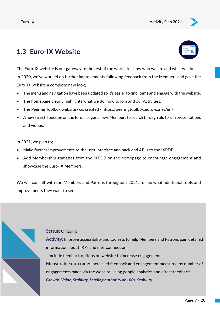## <span id="page-8-0"></span>**1.3 Euro-IX Website**



The Euro-IX website is our gateway to the rest of the world, to show who we are and what we do. In 2020, we've worked on further improvements following feedback from the Members and gave the Euro-IX website a complete new look;

- The menu and navigation have been updated so it's easier to find items and engage with the website.
- The homepage clearly highlights what we do, how to join and our Activities.
- The Peering Toolbox website was created https://peeringtoolbox.euro-ix.net/en/
- A new search function on the forum pages allows Members to search through old forum presentations and videos.

In 2021, we plan to;

- Make further improvements to the user interface and back end API's to the IXPDB.
- Add Membership statistics from the IXPDB on the homepage to encourage engagement and showcase the Euro-IX Members.

We will consult with the Members and Patrons throughout 2021, to see what additional tools and improvements they want to see.

#### **Status:** Ongoing

**Activity:** Improve accessibility and toolsets to help Members and Patrons gain detailed information about IXPs and interconnection.

- Include feedback options on website to increase engagement.

**Measurable outcome:** Increased feedback and engagement measured by number of engagements made via the website, using google analytics and direct feedback. *Growth, Value, Stability, Leading authority on IXPs, Stability*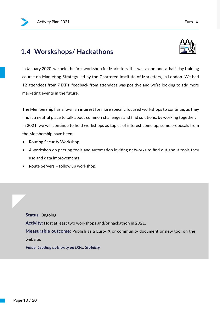### <span id="page-9-0"></span>**1.4 Worskshops/ Hackathons**



In January 2020, we held the first workshop for Marketers, this was a one-and-a-half-day training course on Marketing Strategy led by the Chartered Institute of Marketers, in London. We had 12 attendees from 7 IXPs, feedback from attendees was positive and we're looking to add more marketing events in the future.

The Membership has shown an interest for more specific focused workshops to continue, as they find it a neutral place to talk about common challenges and find solutions, by working together. In 2021, we will continue to hold workshops as topics of interest come up, some proposals from the Membership have been:

- Routing Security Workshop
- A workshop on peering tools and automation inviting networks to find out about tools they use and data improvements.
- Route Servers follow up workshop.

**Status:** Ongoing **Activity:** Host at least two workshops and/or hackathon in 2021. **Measurable outcome:** Publish as a Euro-IX or community document or new tool on the website.

*Value, Leading authority on IXPs, Stability*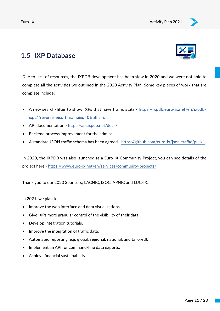

### <span id="page-10-0"></span>**1.5 IXP Database**

Due to lack of resources, the IXPDB development has been slow in 2020 and we were not able to complete all the activities we outlined in the 2020 Activity Plan. Some key pieces of work that are complete include:

- A new search/filter to show IXPs that have traffic stats [https://ixpdb.euro-ix.net/en/ixpdb/](https://ixpdb.euro-ix.net/en/ixpdb/ixps/?reverse=&sort=name&q=&traffic=on) [ixps/?reverse=&sort=name&q=&traffic=on](https://ixpdb.euro-ix.net/en/ixpdb/ixps/?reverse=&sort=name&q=&traffic=on)
- API documentation -<https://api.ixpdb.net/docs/>
- Backend process improvement for the admins
- A standard JSON traffic schema has been agreed -<https://github.com/euro-ix/json-traffic/pull/1>

In 2020, the IXPDB was also launched as a Euro-IX Community Project, you can see details of the project here -<https://www.euro-ix.net/en/services/community-projects/>

Thank you to our 2020 Sponsors; LACNIC, ISOC, APNIC and LUC-IX.

In 2021, we plan to:

- Improve the web interface and data visualizations.
- Give IXPs more granular control of the visibility of their data.
- Develop integration tutorials.
- Improve the integration of traffic data.
- Automated reporting (e.g. global, regional, national, and tailored).
- Implement an API for command-line data exports.
- Achieve financial sustainability.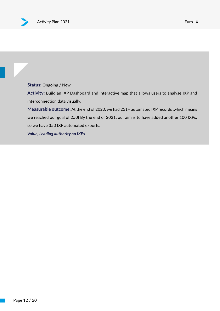**Status:** Ongoing / New

**Activity:** Build an IXP Dashboard and interactive map that allows users to analyse IXP and interconnection data visually.

**Measurable outcome:** At the end of 2020, we had 251+ automated IXP records ,which means we reached our goal of 250! By the end of 2021, our aim is to have added another 100 IXPs, so we have 350 IXP automated exports.

*Value, Leading authority on IXPs*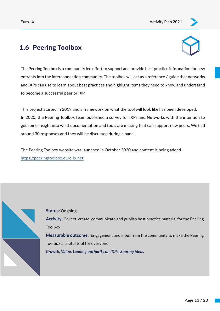## <span id="page-12-0"></span>**1.6 Peering Toolbox**



The Peering Toolbox is a community led effort to support and provide best practice information for new entrants into the interconnection community. The toolbox will act as a reference / guide that networks and IXPs can use to learn about best practices and highlight items they need to know and understand to become a successful peer or IXP.

It volorem peeoss This project started in 2019 and a framework on what the tool will look like has been developed. In 2020, the Peering Toolbox team published a survey for IXPs and Networks with the intention to get some insight into what documentation and tools are missing that can support new peers. We had around 30 responses and they will be discussed during a panel.

ی<br>https://peeringtoolbox.euro-ix.net The Peering Toolbox website was launched in October 2020 and content is being added -



**Status:** Ongoing

**Activity:** Collect, create, communicate and publish best practice material for the Peering Toolbox.

**Measurable outcome:** IEngagement and input from the community to make the Peering Toolbox a useful tool for everyone.

*Growth, Value, Leading authority on IXPs, Sharing ideas*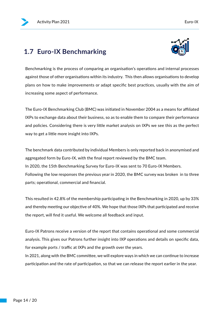## <span id="page-13-0"></span>**1.7 Euro-IX Benchmarking**



Benchmarking is the process of comparing an organisation's operations and internal processes against those of other organisations within its industry. This then allows organisations to develop plans on how to make improvements or adapt specific best practices, usually with the aim of increasing some aspect of performance.

The Euro-IX Benchmarking Club (BMC) was initiated in November 2004 as a means for affiliated IXPs to exchange data about their business, so as to enable them to compare their performance and policies. Considering there is very little market analysis on IXPs we see this as the perfect way to get a little more insight into IXPs.

The benchmark data contributed by individual Members is only reported back in anonymised and aggregated form by Euro-IX, with the final report reviewed by the BMC team. In 2020, the 15th Benchmarking Survey for Euro-IX was sent to 70 Euro-IX Members. Following the low responses the previous year in 2020, the BMC survey was broken in to three parts; operational, commercial and financial.

This resulted in 42.8% of the membership participating in the Benchmarking in 2020, up by 33% and thereby meeting our objective of 40%. We hope that those IXPs that participated and receive the report, will find it useful. We welcome all feedback and input.

Euro-IX Patrons receive a version of the report that contains operational and some commercial analysis. This gives our Patrons further insight into IXP operations and details on specific data, for example ports / traffic at IXPs and the growth over the years.

In 2021, along with the BMC committee, we will explore ways in which we can continue to increase participation and the rate of participation, so that we can release the report earlier in the year.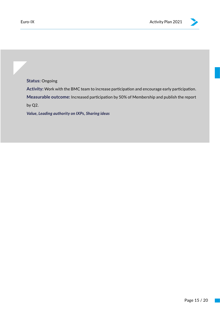**Status:** Ongoing

**Activity:** Work with the BMC team to increase participation and encourage early participation. **Measurable outcome:** Increased participation by 50% of Membership and publish the report by Q2.

*Value, Leading authority on IXPs, Sharing ideas*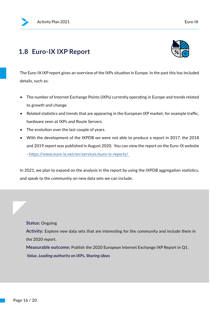### **1.8 Euro-IX IXP Report**



The Euro-IX IXP report gives an overview of the IXPs situation in Europe. In the past this has included details, such as:

- The number of Internet Exchange Points (IXPs) currently operating in Europe and trends related to growth and change.
- Related statistics and trends that are appearing in the European IXP market, for example traffic, hardware seen at IXPs and Route Servers.
- The evolution over the last couple of years.
- With the development of the IXPDB we were not able to produce a report in 2017, the 2018 and 2019 report was published in August 2020. You can view the report on the Euro-IX website - [https://www.euro-ix.net/en/services/euro-ix-reports/]( https://www.euro-ix.net/en/services/euro-ix-reports/ )

In 2021, we plan to expand on the analysis in the report by using the IXPDB aggregation statistics, and speak to the community on new data sets we can include.

**Activity:** Explore new data sets that are interesting for the community and include them in the 2020 report.

**Measurable outcome:** Publish the 2020 European Internet Exchange IXP Report in Q1.  *Value, Leading authority on IXPs, Sharing ideas*

**Status:** Ongoing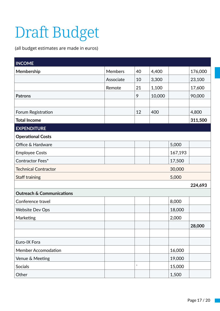# Draft Budget

(all budget estimates are made in euros)

| <b>INCOME</b>                        |                |                     |        |         |         |
|--------------------------------------|----------------|---------------------|--------|---------|---------|
| Membership                           | <b>Members</b> | 40                  | 4,400  |         | 176,000 |
|                                      | Associate      | 10                  | 3,300  |         | 23,100  |
|                                      | Remote         | 21                  | 1,100  |         | 17,600  |
| <b>Patrons</b>                       |                | 9                   | 10,000 |         | 90,000  |
|                                      |                |                     |        |         |         |
| Forum Registration                   |                | 12                  | 400    |         | 4,800   |
| <b>Total Income</b>                  |                |                     |        |         | 311,500 |
| <b>EXPENDITURE</b>                   |                |                     |        |         |         |
| <b>Operational Costs</b>             |                |                     |        |         |         |
| Office & Hardware                    |                |                     |        | 5,000   |         |
| <b>Employee Costs</b>                |                |                     |        | 167,193 |         |
| Contractor Fees*                     |                |                     |        | 17,500  |         |
| <b>Technical Contractor</b>          |                |                     |        | 30,000  |         |
| Staff training                       |                |                     |        | 5,000   |         |
|                                      |                |                     |        |         | 224,693 |
| <b>Outreach &amp; Communications</b> |                |                     |        |         |         |
| Conference travel                    |                |                     |        | 8,000   |         |
| <b>Website Dev Ops</b>               |                |                     |        | 18,000  |         |
| Marketing                            |                |                     |        | 2,000   |         |
|                                      |                |                     |        |         | 28,000  |
|                                      |                |                     |        |         |         |
| Euro-IX Fora                         |                |                     |        |         |         |
| <b>Member Accomodation</b>           |                |                     |        | 16,000  |         |
| Venue & Meeting                      |                |                     |        | 19,000  |         |
| Socials                              |                | $\bar{\phantom{a}}$ |        | 15,000  |         |
| Other                                |                |                     |        | 1,500   |         |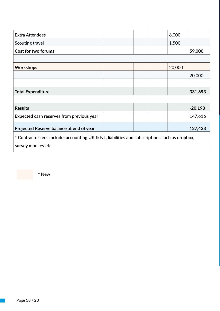| <b>Extra Attendees</b>                                                                        |  |  |  | 6,000  |           |  |  |  |
|-----------------------------------------------------------------------------------------------|--|--|--|--------|-----------|--|--|--|
| Scouting travel                                                                               |  |  |  | 1,500  |           |  |  |  |
| Cost for two forums                                                                           |  |  |  |        | 59,000    |  |  |  |
|                                                                                               |  |  |  |        |           |  |  |  |
| <b>Workshops</b>                                                                              |  |  |  | 20,000 |           |  |  |  |
|                                                                                               |  |  |  |        | 20,000    |  |  |  |
|                                                                                               |  |  |  |        |           |  |  |  |
| <b>Total Expenditure</b>                                                                      |  |  |  |        | 331,693   |  |  |  |
|                                                                                               |  |  |  |        |           |  |  |  |
| <b>Results</b>                                                                                |  |  |  |        | $-20,193$ |  |  |  |
| Expected cash reserves from previous year                                                     |  |  |  |        | 147,616   |  |  |  |
| Projected Reserve balance at end of year                                                      |  |  |  |        | 127,423   |  |  |  |
| * Contractor fees include; accounting UK & NL, liabilities and subscriptions such as dropbox, |  |  |  |        |           |  |  |  |
| survey monkey etc                                                                             |  |  |  |        |           |  |  |  |

**\* New**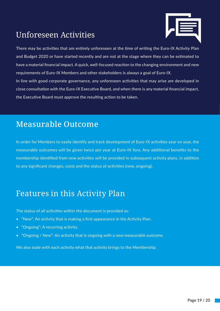## <span id="page-18-0"></span>Unforeseen Activities



There may be activities that are entirely unforeseen at the time of writing the Euro-IX Activity Plan and Budget 2020 or have started recently and are not at the stage where they can be estimated to have a material financial impact. A quick, well-focused reaction to the changing environment and new requirements of Euro-IX Members and other stakeholders is always a goal of Euro-IX. In line with good corporate governance, any unforeseen activities that may arise are developed in close consultation with the Euro-IX Executive Board, and when there is any material financial impact, the Executive Board must approve the resulting action to be taken.

## Measurable Outcome

In order for Members to easily identify and track development of Euro-IX activities year on year, the measurable outcomes will be given twice per year at Euro-IX fora. Any additional benefits to the membership identified from new activities will be provided in subsequent activity plans, in addition to any significant changes, costs and the status of activities (new, ongoing).

## Features in this Activity Plan

The status of all activities within the document is provided as:

- "New": An activity that is making a first appearance in the Activity Plan.
- "Ongoing": A recurring activity.
- "Ongoing / New": An activity that is ongoing with a new measurable outcome.

We also state with each activity what that activity brings to the Membership.